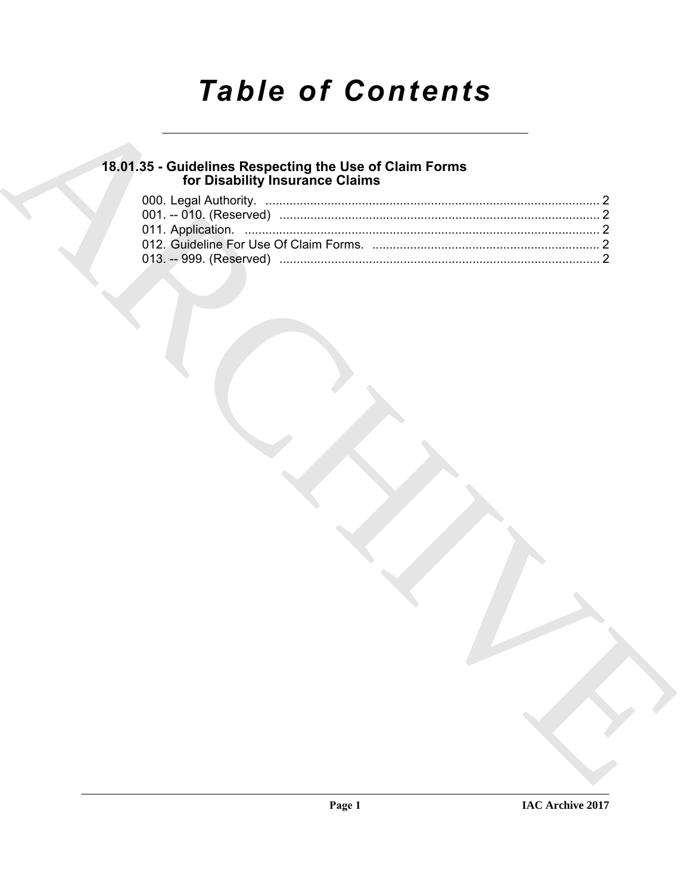# *Table of Contents*

### **18.01.35 - Guidelines Respecting the Use of Claim Forms for Disability Insurance Claims**

|  | 18.01.35 - Guidelines Respecting the Use of Claim Forms<br>for Disability Insurance Claims |  |  |
|--|--------------------------------------------------------------------------------------------|--|--|
|  |                                                                                            |  |  |
|  |                                                                                            |  |  |
|  |                                                                                            |  |  |
|  |                                                                                            |  |  |
|  |                                                                                            |  |  |
|  |                                                                                            |  |  |
|  |                                                                                            |  |  |
|  |                                                                                            |  |  |
|  |                                                                                            |  |  |
|  |                                                                                            |  |  |
|  |                                                                                            |  |  |
|  |                                                                                            |  |  |
|  |                                                                                            |  |  |
|  |                                                                                            |  |  |
|  |                                                                                            |  |  |
|  |                                                                                            |  |  |
|  |                                                                                            |  |  |
|  |                                                                                            |  |  |
|  |                                                                                            |  |  |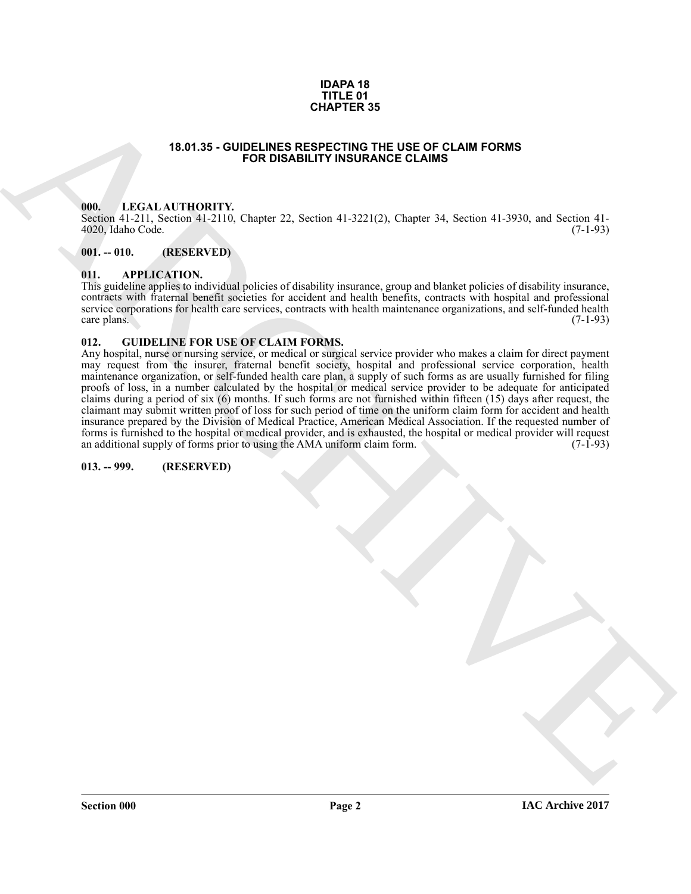#### **IDAPA 18 TITLE 01 CHAPTER 35**

#### **18.01.35 - GUIDELINES RESPECTING THE USE OF CLAIM FORMS FOR DISABILITY INSURANCE CLAIMS**

#### <span id="page-1-1"></span><span id="page-1-0"></span>**000. LEGAL AUTHORITY.**

Section 41-211, Section 41-2110, Chapter 22, Section 41-3221(2), Chapter 34, Section 41-3930, and Section 41-4020, Idaho Code. (7-1-93) 4020, Idaho Code.

#### <span id="page-1-2"></span>**001. -- 010. (RESERVED)**

#### <span id="page-1-6"></span><span id="page-1-3"></span>**011. APPLICATION.**

This guideline applies to individual policies of disability insurance, group and blanket policies of disability insurance, contracts with fraternal benefit societies for accident and health benefits, contracts with hospital and professional service corporations for health care services, contracts with health maintenance organizations, and self-funded health care plans. (7-1-93)  $\alpha$  care plans. (7-1-93)

#### <span id="page-1-7"></span><span id="page-1-4"></span>**012. GUIDELINE FOR USE OF CLAIM FORMS.**

**CHAPTER 35**<br>
18.01.35 - **CHOELING REGENTION DESCRIPTION CONTRACTS**<br>
18.01.35 - **CHOELING REGENTION DESCRIPTION CONTRACTS**<br>
19.000 41.21.1 SYSTEM (19.000 41.22.11.2), Choice 23, Section 41.22.21.12), Choice 24, Section 41 Any hospital, nurse or nursing service, or medical or surgical service provider who makes a claim for direct payment may request from the insurer, fraternal benefit society, hospital and professional service corporation, health maintenance organization, or self-funded health care plan, a supply of such forms as are usually furnished for filing proofs of loss, in a number calculated by the hospital or medical service provider to be adequate for anticipated claims during a period of six (6) months. If such forms are not furnished within fifteen (15) days after request, the claimant may submit written proof of loss for such period of time on the uniform claim form for accident and health insurance prepared by the Division of Medical Practice, American Medical Association. If the requested number of forms is furnished to the hospital or medical provider, and is exhausted, the hospital or medical provider will request an additional supply of forms prior to using the AMA uniform claim form. (7-1-93)

#### <span id="page-1-5"></span>**013. -- 999. (RESERVED)**